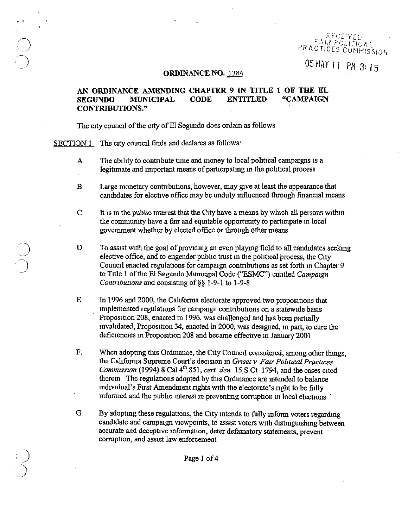EAIR POLITICAL PRACTICES COMMISSION

05 MAY 11 PM 3: 15

#### ORDINANCE NO. 1384

# AN ORDINANCE AMENDING CHAPTER 9 IN TITLE 1 OF THE EL SEGUNDO MUNICIPAL CODE ENTITLED "CAMPAIGN CONTRIBUTIONS."

The city council of the city of El Segundo does ordain as follows

SECTION 1 The city council finds and declares as follows'

,

j

- A The ability to contribute time and money to local political campaigns is a legitimate and important means of participating in the political process
- B Large monetary contributions, however, may give at least the appearance that candidates for elective office may be unduly influenced through financial means
- $C$  It is in the public interest that the City have a means by which all persons within the community have a fair and equitable opportunity to participate in local government whether by elected office or through other means
- D To assist with the goal of providing an even playing field to all candidates seeking elective office, and to engender public trust in the political process, the City Council enacted regulations for campaign contributions as set forth in Chapter 9 to Title 1 of the El Segundo Municipal Code ("ESMC") entitled *Campaign Contributions* and consisting of §§ 1-9-1 to 1-9-8
- E In 1996 and 2000, the California electorate approved two propositions that implemented regulations for campaign contributions on a statewide basis Proposition 208, enacted in 1996, was challenged and has been partially mvalIdated, PropoSItIon 34, enacted in 2000, was deSigned, m part, to cure the deficiencies in Proposition 208 and became effective in January 2001
- F. When adopting this Ordinance, the City Council considered, among other things, the CalIfornia Supreme Court's deCISIOn m *Grlset* v *FaiT Polztlcal Practices Commission* (1994) 8 Cal 4<sup>th</sup> 851, *cert den* 15 S Ct 1794, and the cases cited therem The regulations adopted by this Ordinance are intended to balance mdlVldual's First Amendment nghts With the electorate's nght to be fully mformed and the public interest in preventing corruption in local elections
- G By adopting these regulations, the City intends to fully inform voters regarding candidate and campaign viewpoints, to assist voters with distinguishing between accurate and deceptive information, deter defamatory statements, prevent corruption, and assist law enforcement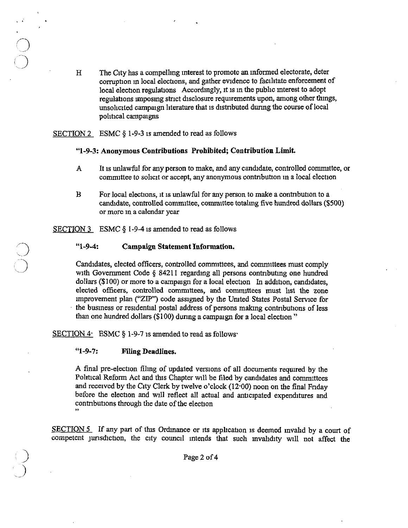H The CIty has a compelhng mterest to promote an mformed electorate, deter corruption in local elections, and gather evidence to facilitate enforcement of local election regulations Accordingly, it is in the public interest to adopt regulations imposing strict disclosure requirements upon, among other things, unsolicited campaign literature that is distributed during the course of local political campaigns

SECTION 2 ESMC  $\S$  1-9-3 is amended to read as follows

, .

### "1-9-3: Anonymous **Contributions Prohibited; Contribution Limit.**

- A It is unlawful for any person to make, and any candidate, controlled committee, or committee to solicit or accept, any anonymous contribution in a local election
- B For local elections, it is unlawful for any person to make a contribution to a candidate, controlled committee, committee totaling five hundred dollars (\$500) or more m a calendar year

SECTION 3 ESMC § 1-9-4 is amended to read as follows

# "1-9-4: **Campaign Statement Information.**

Candidates, elected officers, controlled committees, and committees must comply with Government Code  $\S$  84211 regarding all persons contributing one hundred dollars  $(\$100)$  or more to a campaign for a local election In addition, candidates, elected officers, controlled committees, and committees must list the zone improvement plan ("ZIP") code assigned by the United States Postal Service for the business or residential postal address of persons making contributions of less than one hundred dollars  $(100)$  during a campaign for a local election"

SECTION 4: ESMC § 1-9-7 is amended to read as follows

### "1-9-7: **Filing Deadlines.**

A final pre-election filing of updated versions of all documents required by the Political Reform Act and this Chapter will be filed by candidates and committees and received by the City Clerk by twelve o'clock  $(12,00)$  noon on the final Friday before the election and will reflect all actual and anticipated expenditures and contributions through the date of the election "

SECTION  $5$  If any part of this Ordinance or its application is deemed invalid by a court of competent jurisdiction, the city council intends that such invalidity will not affect the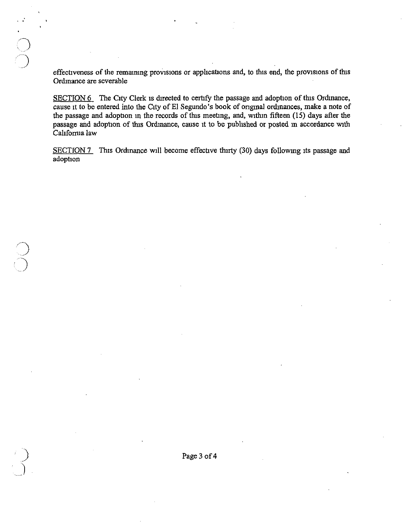effectiveness of the remaining provisions or applications and, to this end, the provisions of this Ordmance are severable

 $\sum_{i=1}^{n}$ 

SECTION 6 The City Clerk is directed to certify the passage and adoption of this Ordinance, cause it to be entered into the City of El Segundo's book of original ordinances, make a note of the passage and adoption in the records of this meeting, and, within fifteen (15) days after the passage and adoption of this Ordinance, cause it to be published or posted in accordance with California law

SECTION 7 This Ordinance will become effective thirty (30) days following its passage and adoption